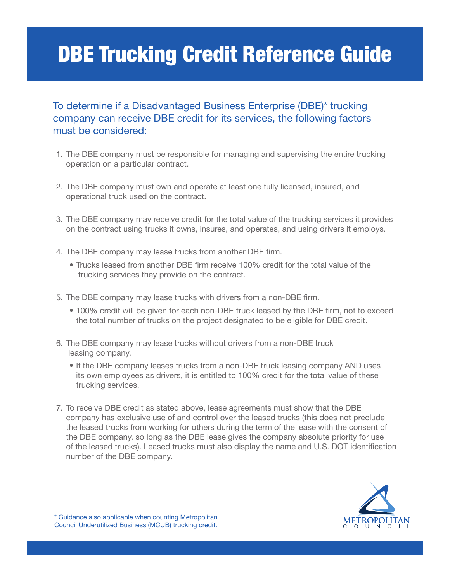# DBE Trucking Credit Reference Guide

#### To determine if a Disadvantaged Business Enterprise (DBE)\* trucking company can receive DBE credit for its services, the following factors must be considered:

- 1. The DBE company must be responsible for managing and supervising the entire trucking operation on a particular contract.
- 2. The DBE company must own and operate at least one fully licensed, insured, and operational truck used on the contract.
- 3. The DBE company may receive credit for the total value of the trucking services it provides on the contract using trucks it owns, insures, and operates, and using drivers it employs.
- 4. The DBE company may lease trucks from another DBE firm.
	- Trucks leased from another DBE firm receive 100% credit for the total value of the trucking services they provide on the contract.
- 5. The DBE company may lease trucks with drivers from a non-DBE firm.
	- 100% credit will be given for each non-DBE truck leased by the DBE firm, not to exceed the total number of trucks on the project designated to be eligible for DBE credit.
- 6. The DBE company may lease trucks without drivers from a non-DBE truck leasing company.
	- If the DBE company leases trucks from a non-DBE truck leasing company AND uses its own employees as drivers, it is entitled to 100% credit for the total value of these trucking services.
- 7. To receive DBE credit as stated above, lease agreements must show that the DBE company has exclusive use of and control over the leased trucks (this does not preclude the leased trucks from working for others during the term of the lease with the consent of the DBE company, so long as the DBE lease gives the company absolute priority for use of the leased trucks). Leased trucks must also display the name and U.S. DOT identification number of the DBE company.

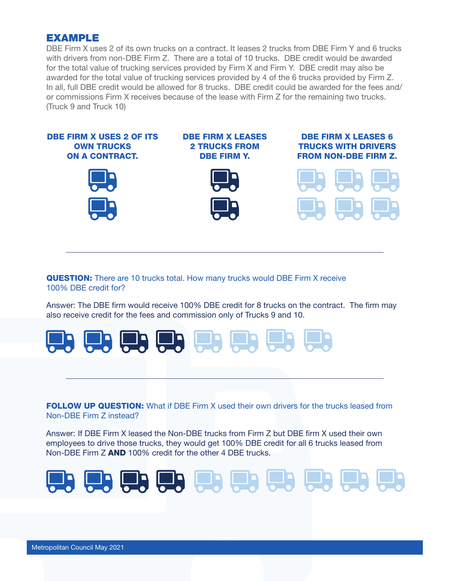#### EXAMPLE

DBE Firm X uses 2 of its own trucks on a contract. It leases 2 trucks from DBE Firm Y and 6 trucks with drivers from non-DBE Firm Z. There are a total of 10 trucks. DBE credit would be awarded for the total value of trucking services provided by Firm X and Firm Y. DBE credit may also be awarded for the total value of trucking services provided by 4 of the 6 trucks provided by Firm Z. In all, full DBE credit would be allowed for 8 trucks. DBE credit could be awarded for the fees and/ or commissions Firm X receives because of the lease with Firm Z for the remaining two trucks. (Truck 9 and Truck 10)



QUESTION: There are 10 trucks total. How many trucks would DBE Firm X receive 100% DBE credit for?

Answer: The DBE firm would receive 100% DBE credit for 8 trucks on the contract. The firm may also receive credit for the fees and commission only of Trucks 9 and 10.



**FOLLOW UP QUESTION:** What if DBE Firm X used their own drivers for the trucks leased from Non-DBE Firm Z instead?

Answer: If DBE Firm X leased the Non-DBE trucks from Firm Z but DBE firm X used their own employees to drive those trucks, they would get 100% DBE credit for all 6 trucks leased from Non-DBE Firm Z AND 100% credit for the other 4 DBE trucks.

(모) (모) (모) (모) (모) (모) (모) (모) (모) (모)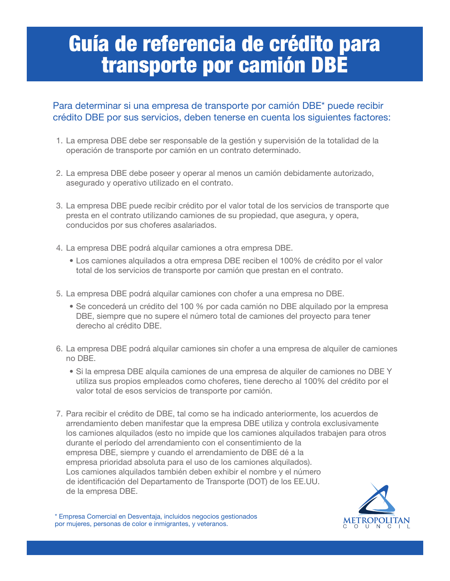## Guía de referencia de crédito para transporte por camión DBE

#### Para determinar si una empresa de transporte por camión DBE\* puede recibir crédito DBE por sus servicios, deben tenerse en cuenta los siguientes factores:

- 1. La empresa DBE debe ser responsable de la gestión y supervisión de la totalidad de la operación de transporte por camión en un contrato determinado.
- 2. La empresa DBE debe poseer y operar al menos un camión debidamente autorizado, asegurado y operativo utilizado en el contrato.
- 3. La empresa DBE puede recibir crédito por el valor total de los servicios de transporte que presta en el contrato utilizando camiones de su propiedad, que asegura, y opera, conducidos por sus choferes asalariados.
- 4. La empresa DBE podrá alquilar camiones a otra empresa DBE.
	- Los camiones alquilados a otra empresa DBE reciben el 100% de crédito por el valor total de los servicios de transporte por camión que prestan en el contrato.
- 5. La empresa DBE podrá alquilar camiones con chofer a una empresa no DBE.
	- Se concederá un crédito del 100 % por cada camión no DBE alquilado por la empresa DBE, siempre que no supere el número total de camiones del proyecto para tener derecho al crédito DBE.
- 6. La empresa DBE podrá alquilar camiones sin chofer a una empresa de alquiler de camiones no DBE.
	- Si la empresa DBE alquila camiones de una empresa de alquiler de camiones no DBE Y utiliza sus propios empleados como choferes, tiene derecho al 100% del crédito por el valor total de esos servicios de transporte por camión.
- 7. Para recibir el crédito de DBE, tal como se ha indicado anteriormente, los acuerdos de arrendamiento deben manifestar que la empresa DBE utiliza y controla exclusivamente los camiones alquilados (esto no impide que los camiones alquilados trabajen para otros durante el período del arrendamiento con el consentimiento de la empresa DBE, siempre y cuando el arrendamiento de DBE dé a la empresa prioridad absoluta para el uso de los camiones alquilados). Los camiones alquilados también deben exhibir el nombre y el número de identificación del Departamento de Transporte (DOT) de los EE.UU. de la empresa DBE.



\* Empresa Comercial en Desventaja, incluidos negocios gestionados por mujeres, personas de color e inmigrantes, y veteranos.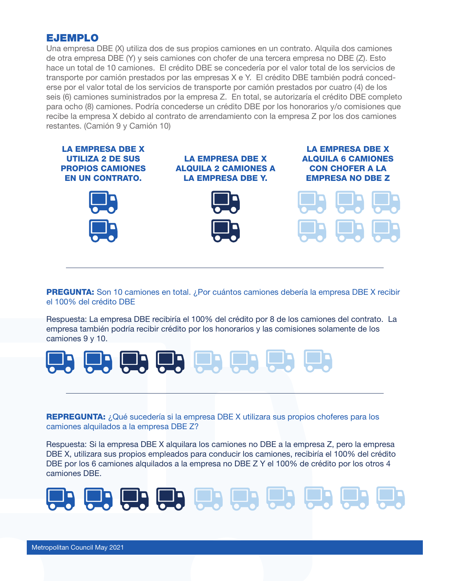#### EJEMPLO

Una empresa DBE (X) utiliza dos de sus propios camiones en un contrato. Alquila dos camiones de otra empresa DBE (Y) y seis camiones con chofer de una tercera empresa no DBE (Z). Esto hace un total de 10 camiones. El crédito DBE se concedería por el valor total de los servicios de transporte por camión prestados por las empresas X e Y. El crédito DBE también podrá concederse por el valor total de los servicios de transporte por camión prestados por cuatro (4) de los seis (6) camiones suministrados por la empresa Z. En total, se autorizaría el crédito DBE completo para ocho (8) camiones. Podría concederse un crédito DBE por los honorarios y/o comisiones que recibe la empresa X debido al contrato de arrendamiento con la empresa Z por los dos camiones restantes. (Camión 9 y Camión 10)



**PREGUNTA:** Son 10 camiones en total. ¿Por cuántos camiones debería la empresa DBE X recibir el 100% del crédito DBE

Respuesta: La empresa DBE recibiría el 100% del crédito por 8 de los camiones del contrato. La empresa también podría recibir crédito por los honorarios y las comisiones solamente de los camiones 9 y 10.



REPREGUNTA: ¿Qué sucedería si la empresa DBE X utilizara sus propios choferes para los camiones alquilados a la empresa DBE Z?

Respuesta: Si la empresa DBE X alquilara los camiones no DBE a la empresa Z, pero la empresa DBE X, utilizara sus propios empleados para conducir los camiones, recibiría el 100% del crédito DBE por los 6 camiones alquilados a la empresa no DBE Z Y el 100% de crédito por los otros 4 camiones DBE.

(말) (말) (말) (말) [말) (말) (말) (말) (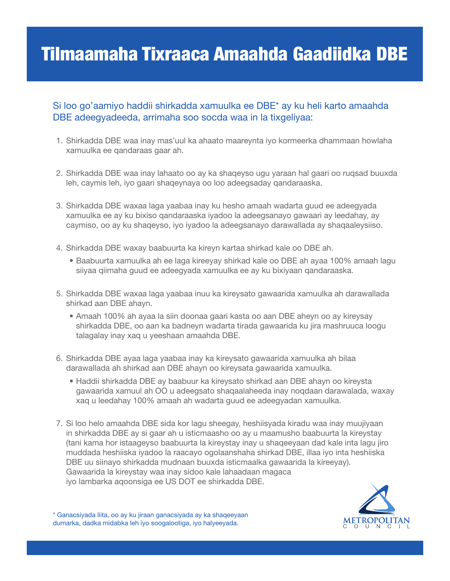### Tilmaamaha Tixraaca Amaahda Gaadiidka DBE

#### Si loo go'aamiyo haddii shirkadda xamuulka ee DBE\* ay ku heli karto amaahda DBE adeegyadeeda, arrimaha soo socda waa in la tixgeliyaa:

- 1. Shirkadda DBE waa inay mas'uul ka ahaato maareynta iyo kormeerka dhammaan howlaha xamuulka ee qandaraas gaar ah.
- 2. Shirkadda DBE waa inay lahaato oo ay ka shaqeyso ugu yaraan hal gaari oo ruqsad buuxda leh, caymis leh, iyo gaari shaqeynaya oo loo adeegsaday qandaraaska.
- 3. Shirkadda DBE waxaa laga yaabaa inay ku hesho amaah wadarta guud ee adeegyada xamuulka ee ay ku bixiso qandaraaska iyadoo la adeegsanayo gawaari ay leedahay, ay caymiso, oo ay ku shaqeyso, iyo iyadoo la adeegsanayo darawallada ay shaqaaleysiiso.
- 4. Shirkadda DBE waxay baabuurta ka kireyn kartaa shirkad kale oo DBE ah.
	- Baabuurta xamuulka ah ee laga kireeyay shirkad kale oo DBE ah ayaa 100% amaah lagu siiyaa qiimaha guud ee adeegyada xamuulka ee ay ku bixiyaan qandaraaska.
- 5. Shirkadda DBE waxaa laga yaabaa inuu ka kireysato gawaarida xamuulka ah darawallada shirkad aan DBE ahayn.
	- Amaah 100% ah ayaa la siin doonaa gaari kasta oo aan DBE aheyn oo ay kireysay shirkadda DBE, oo aan ka badneyn wadarta tirada gawaarida ku jira mashruuca loogu talagalay inay xaq u yeeshaan amaahda DBE.
- 6. Shirkadda DBE ayaa laga yaabaa inay ka kireysato gawaarida xamuulka ah bilaa darawallada ah shirkad aan DBE ahayn oo kireysata gawaarida xamuulka.
	- Haddii shirkadda DBE ay baabuur ka kireysato shirkad aan DBE ahayn oo kireysta gawaarida xamuul ah OO u adeegsato shaqaalaheeda inay noqdaan darawalada, waxay xaq u leedahay 100% amaah ah wadarta guud ee adeegyadan xamuulka.
- 7. Si loo helo amaahda DBE sida kor lagu sheegay, heshiisyada kiradu waa inay muujiyaan in shirkadda DBE ay si gaar ah u isticmaasho oo ay u maamusho baabuurta la kireystay (tani kama hor istaageyso baabuurta la kireystay inay u shaqeeyaan dad kale inta lagu jiro muddada heshiiska iyadoo la raacayo ogolaanshaha shirkad DBE, illaa iyo inta heshiiska DBE uu siinayo shirkadda mudnaan buuxda isticmaalka gawaarida la kireeyay). Gawaarida la kireystay waa inay sidoo kale lahaadaan magaca iyo lambarka aqoonsiga ee US DOT ee shirkadda DBE.



\* Ganacsiyada liita, oo ay ku jiraan ganacsiyada ay ka shaqeeyaan dumarka, dadka midabka leh iyo soogalootiga, iyo halyeeyada.